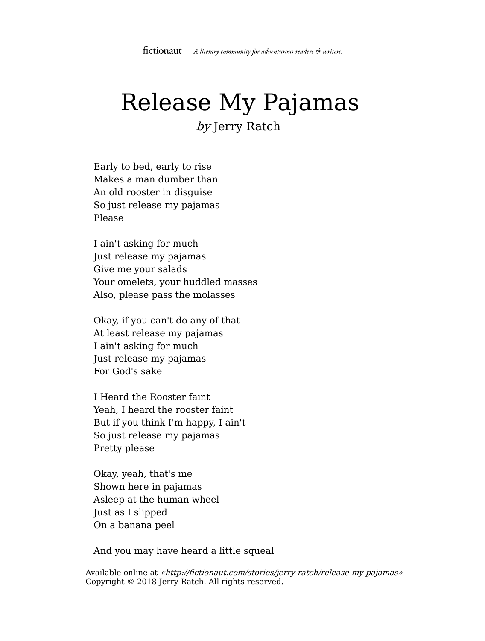## Release My Pajamas

by Jerry Ratch

Early to bed, early to rise Makes a man dumber than An old rooster in disguise So just release my pajamas Please

I ain't asking for much Just release my pajamas Give me your salads Your omelets, your huddled masses Also, please pass the molasses

Okay, if you can't do any of that At least release my pajamas I ain't asking for much Just release my pajamas For God's sake

I Heard the Rooster faint Yeah, I heard the rooster faint But if you think I'm happy, I ain't So just release my pajamas Pretty please

Okay, yeah, that's me Shown here in pajamas Asleep at the human wheel Just as I slipped On a banana peel

And you may have heard a little squeal

Available online at «http://fictionaut.com/stories/jerry-ratch/release-my-pajamas» Copyright © 2018 Jerry Ratch. All rights reserved.